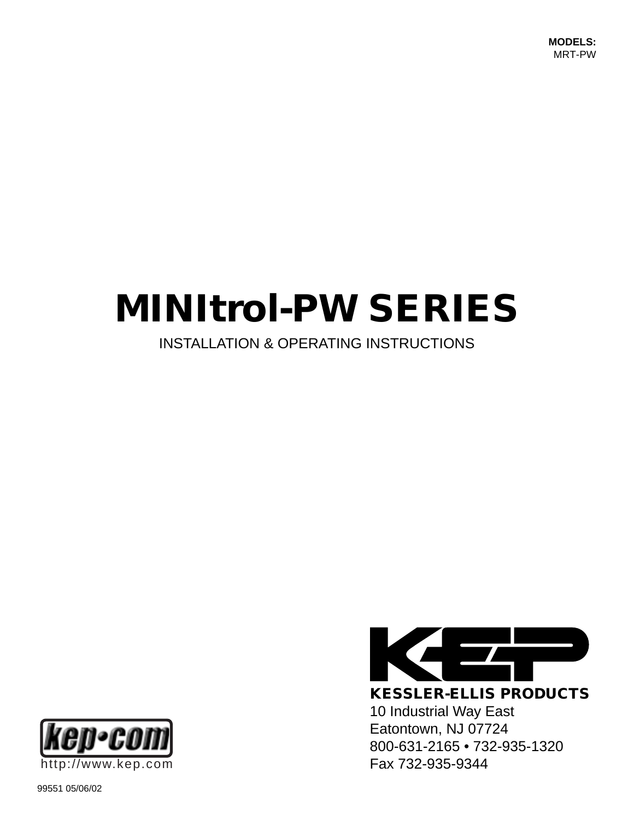# **MINItrol-PW SERIES**

### INSTALLATION & OPERATING INSTRUCTIONS



 $\frac{1}{\sqrt{2}}$ 

**KESSLER-ELLIS PRODUCTS** 10 Industrial Way East Eatontown, NJ 07724 800-631-2165 • 732-935-1320

99551 05/06/02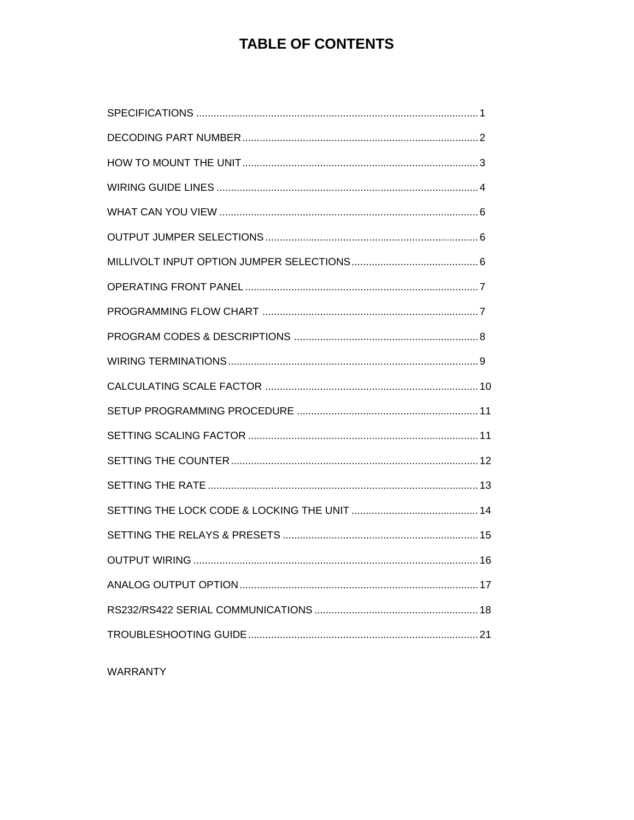### **TABLE OF CONTENTS**

WARRANTY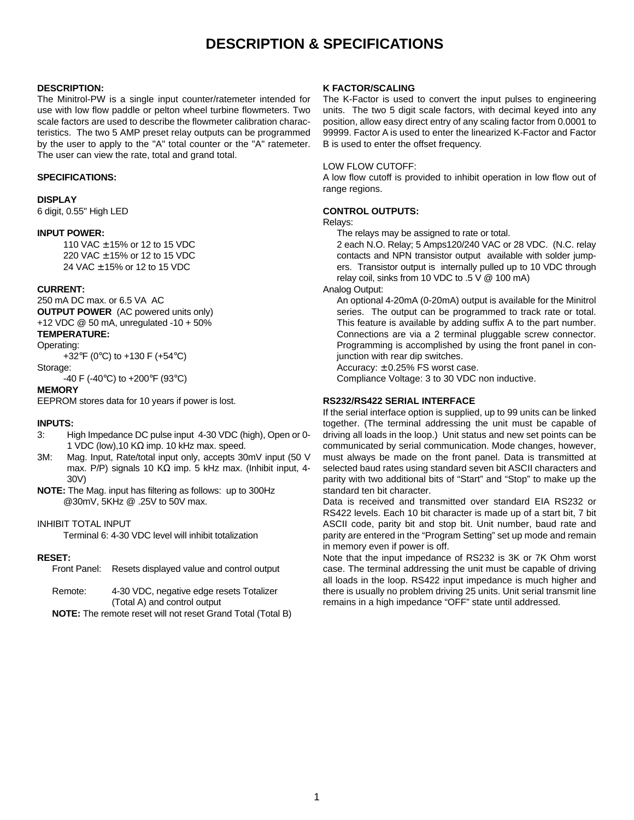### **DESCRIPTION & SPECIFICATIONS**

#### **DESCRIPTION:**

The Minitrol-PW is a single input counter/ratemeter intended for use with low flow paddle or pelton wheel turbine flowmeters. Two scale factors are used to describe the flowmeter calibration characteristics. The two 5 AMP preset relay outputs can be programmed by the user to apply to the "A" total counter or the "A" ratemeter. The user can view the rate, total and grand total.

#### **SPECIFICATIONS:**

#### **DISPLAY**

6 digit, 0.55" High LED

#### **INPUT POWER:**

110 VAC ± 15% or 12 to 15 VDC 220 VAC ± 15% or 12 to 15 VDC 24 VAC ± 15% or 12 to 15 VDC

#### **CURRENT:**

250 mA DC max. or 6.5 VA AC **OUTPUT POWER** (AC powered units only) +12 VDC @ 50 mA, unregulated -10 + 50% **TEMPERATURE:**

### Operating:

+32°F (0°C) to +130 F (+54°C)

#### Storage:

-40 F (-40°C) to +200°F (93°C)

#### **MEMORY**

EEPROM stores data for 10 years if power is lost.

#### **INPUTS:**

- 3: High Impedance DC pulse input 4-30 VDC (high), Open or 0- 1 VDC (low), 10 K $\Omega$  imp. 10 kHz max. speed.
- 3M: Mag. Input, Rate/total input only, accepts 30mV input (50 V max. P/P) signals 10 KΩ imp. 5 kHz max. (Inhibit input, 4-30V)
- **NOTE:** The Mag. input has filtering as follows: up to 300Hz @30mV, 5KHz @ .25V to 50V max.

### INHIBIT TOTAL INPUT

Terminal 6: 4-30 VDC level will inhibit totalization

#### **RESET:**

Front Panel: Resets displayed value and control output

- Remote: 4-30 VDC, negative edge resets Totalizer (Total A) and control output
- **NOTE:** The remote reset will not reset Grand Total (Total B)

#### **K FACTOR/SCALING**

The K-Factor is used to convert the input pulses to engineering units. The two 5 digit scale factors, with decimal keyed into any position, allow easy direct entry of any scaling factor from 0.0001 to 99999. Factor A is used to enter the linearized K-Factor and Factor B is used to enter the offset frequency.

#### LOW FLOW CUTOFF:

A low flow cutoff is provided to inhibit operation in low flow out of range regions.

### **CONTROL OUTPUTS:**

### Relays:

The relays may be assigned to rate or total.

2 each N.O. Relay; 5 Amps120/240 VAC or 28 VDC. (N.C. relay contacts and NPN transistor output available with solder jumpers. Transistor output is internally pulled up to 10 VDC through relay coil, sinks from 10 VDC to .5 V @ 100 mA)

Analog Output:

An optional 4-20mA (0-20mA) output is available for the Minitrol series. The output can be programmed to track rate or total. This feature is available by adding suffix A to the part number. Connections are via a 2 terminal pluggable screw connector. Programming is accomplished by using the front panel in conjunction with rear dip switches.

Accuracy:  $\pm$  0.25% FS worst case.

Compliance Voltage: 3 to 30 VDC non inductive.

### **RS232/RS422 SERIAL INTERFACE**

If the serial interface option is supplied, up to 99 units can be linked together. (The terminal addressing the unit must be capable of driving all loads in the loop.) Unit status and new set points can be communicated by serial communication. Mode changes, however, must always be made on the front panel. Data is transmitted at selected baud rates using standard seven bit ASCII characters and parity with two additional bits of "Start" and "Stop" to make up the standard ten bit character.

Data is received and transmitted over standard EIA RS232 or RS422 levels. Each 10 bit character is made up of a start bit, 7 bit ASCII code, parity bit and stop bit. Unit number, baud rate and parity are entered in the "Program Setting" set up mode and remain in memory even if power is off.

Note that the input impedance of RS232 is 3K or 7K Ohm worst case. The terminal addressing the unit must be capable of driving all loads in the loop. RS422 input impedance is much higher and there is usually no problem driving 25 units. Unit serial transmit line remains in a high impedance "OFF" state until addressed.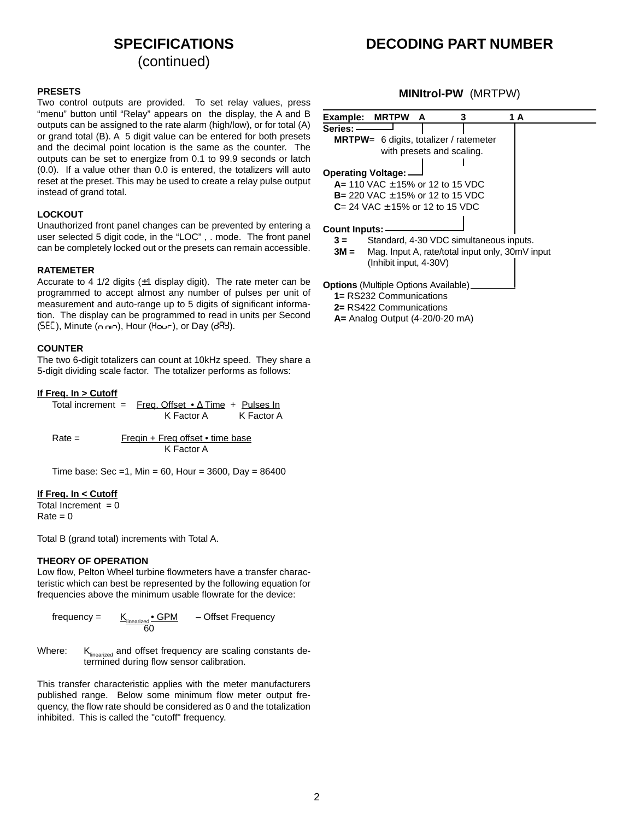### **SPECIFICATIONS**

(continued)

### **DECODING PART NUMBER**

#### **PRESETS**

Two control outputs are provided. To set relay values, press "menu" button until "Relay" appears on the display, the A and B outputs can be assigned to the rate alarm (high/low), or for total (A) or grand total (B). A 5 digit value can be entered for both presets and the decimal point location is the same as the counter. The outputs can be set to energize from 0.1 to 99.9 seconds or latch (0.0). If a value other than 0.0 is entered, the totalizers will auto reset at the preset. This may be used to create a relay pulse output instead of grand total.

#### **LOCKOUT**

Unauthorized front panel changes can be prevented by entering a user selected 5 digit code, in the "LOC" , . mode. The front panel can be completely locked out or the presets can remain accessible.

#### **RATEMETER**

Accurate to 4 1/2 digits  $(\pm 1)$  display digit). The rate meter can be programmed to accept almost any number of pulses per unit of measurement and auto-range up to 5 digits of significant information. The display can be programmed to read in units per Second  $(SEC)$ , Minute (n nin), Hour (Hour), or Day (d $R_2$ ).

#### **COUNTER**

The two 6-digit totalizers can count at 10kHz speed. They share a 5-digit dividing scale factor. The totalizer performs as follows:

#### **If Freq. In > Cutoff**

| Total increment = Freq. Offset $\bullet \Delta$ Time + Pulses In |            |
|------------------------------------------------------------------|------------|
| K Factor A                                                       | K Factor A |

Rate = Freqin + Freq offset • time base K Factor A

Time base: Sec = 1, Min = 60, Hour = 3600, Day =  $86400$ 

#### **If Freq. In < Cutoff**

Total Increment  $= 0$  $Rate = 0$ 

Total B (grand total) increments with Total A.

#### **THEORY OF OPERATION**

Low flow, Pelton Wheel turbine flowmeters have a transfer characteristic which can best be represented by the following equation for frequencies above the minimum usable flowrate for the device:

frequency =  $K_{\textrm{\tiny linearized}} \bullet \textrm{\underline{GPM}}$  – Offset Frequency 60

Where:  $K_{\text{linearized}}$  and offset frequency are scaling constants determined during flow sensor calibration.

This transfer characteristic applies with the meter manufacturers published range. Below some minimum flow meter output frequency, the flow rate should be considered as 0 and the totalization inhibited. This is called the "cutoff" frequency.

### **MINItrol-PW** (MRTPW)

| Example: MRTPW<br>A<br>3<br>1 A                         |
|---------------------------------------------------------|
| Series: –                                               |
| <b>MRTPW</b> = 6 digits, totalizer / ratemeter          |
| with presets and scaling.                               |
| <b>Operating Voltage:</b> -                             |
| $A = 110$ VAC $\pm$ 15% or 12 to 15 VDC                 |
| <b>B</b> = 220 VAC $\pm$ 15% or 12 to 15 VDC            |
| <b>C</b> = 24 VAC $\pm$ 15% or 12 to 15 VDC             |
| Count Inputs:                                           |
| Standard, 4-30 VDC simultaneous inputs.<br>$3 =$        |
| Mag. Input A, rate/total input only, 30mV input<br>3M = |
| (Inhibit input, 4-30V)                                  |
| <b>Options</b> (Multiple Options Available) __          |
| 1= RS232 Communications                                 |
| 2= RS422 Communications                                 |

**A=** Analog Output (4-20/0-20 mA)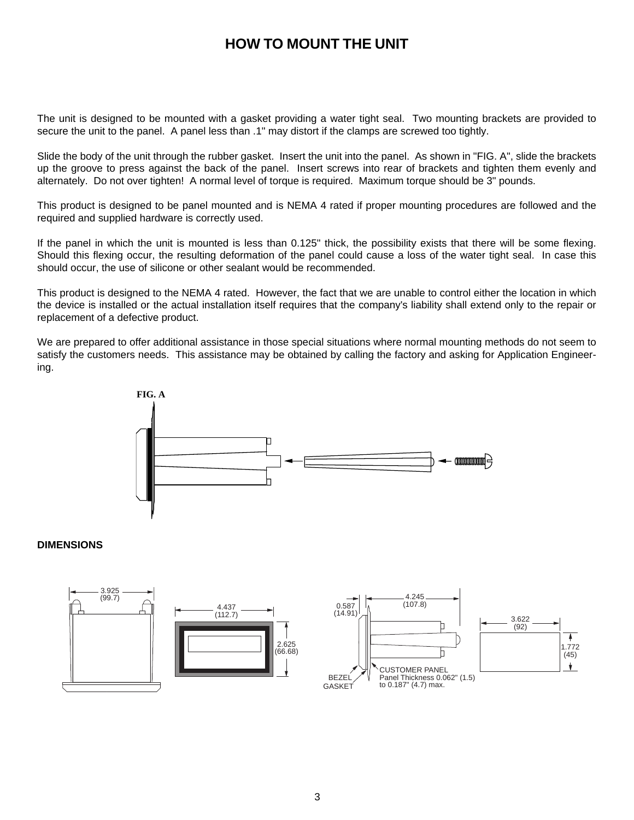### **HOW TO MOUNT THE UNIT**

The unit is designed to be mounted with a gasket providing a water tight seal. Two mounting brackets are provided to secure the unit to the panel. A panel less than .1" may distort if the clamps are screwed too tightly.

Slide the body of the unit through the rubber gasket. Insert the unit into the panel. As shown in "FIG. A", slide the brackets up the groove to press against the back of the panel. Insert screws into rear of brackets and tighten them evenly and alternately. Do not over tighten! A normal level of torque is required. Maximum torque should be 3" pounds.

This product is designed to be panel mounted and is NEMA 4 rated if proper mounting procedures are followed and the required and supplied hardware is correctly used.

If the panel in which the unit is mounted is less than 0.125" thick, the possibility exists that there will be some flexing. Should this flexing occur, the resulting deformation of the panel could cause a loss of the water tight seal. In case this should occur, the use of silicone or other sealant would be recommended.

This product is designed to the NEMA 4 rated. However, the fact that we are unable to control either the location in which the device is installed or the actual installation itself requires that the company's liability shall extend only to the repair or replacement of a defective product.

We are prepared to offer additional assistance in those special situations where normal mounting methods do not seem to satisfy the customers needs. This assistance may be obtained by calling the factory and asking for Application Engineering.



### **DIMENSIONS**

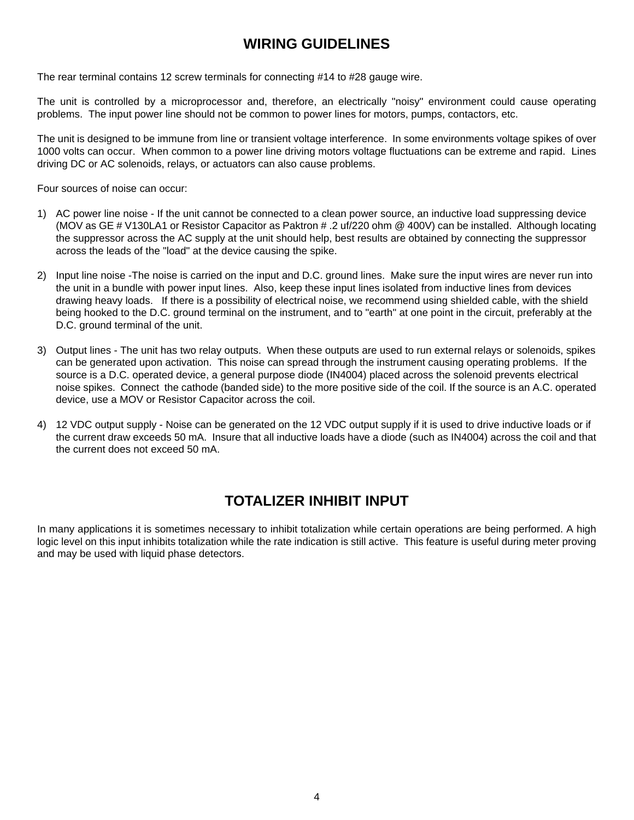### **WIRING GUIDELINES**

The rear terminal contains 12 screw terminals for connecting #14 to #28 gauge wire.

The unit is controlled by a microprocessor and, therefore, an electrically "noisy" environment could cause operating problems. The input power line should not be common to power lines for motors, pumps, contactors, etc.

The unit is designed to be immune from line or transient voltage interference. In some environments voltage spikes of over 1000 volts can occur. When common to a power line driving motors voltage fluctuations can be extreme and rapid. Lines driving DC or AC solenoids, relays, or actuators can also cause problems.

Four sources of noise can occur:

- 1) AC power line noise If the unit cannot be connected to a clean power source, an inductive load suppressing device (MOV as GE # V130LA1 or Resistor Capacitor as Paktron # .2 uf/220 ohm @ 400V) can be installed. Although locating the suppressor across the AC supply at the unit should help, best results are obtained by connecting the suppressor across the leads of the "load" at the device causing the spike.
- 2) Input line noise -The noise is carried on the input and D.C. ground lines. Make sure the input wires are never run into the unit in a bundle with power input lines. Also, keep these input lines isolated from inductive lines from devices drawing heavy loads. If there is a possibility of electrical noise, we recommend using shielded cable, with the shield being hooked to the D.C. ground terminal on the instrument, and to "earth" at one point in the circuit, preferably at the D.C. ground terminal of the unit.
- 3) Output lines The unit has two relay outputs. When these outputs are used to run external relays or solenoids, spikes can be generated upon activation. This noise can spread through the instrument causing operating problems. If the source is a D.C. operated device, a general purpose diode (IN4004) placed across the solenoid prevents electrical noise spikes. Connect the cathode (banded side) to the more positive side of the coil. If the source is an A.C. operated device, use a MOV or Resistor Capacitor across the coil.
- 4) 12 VDC output supply Noise can be generated on the 12 VDC output supply if it is used to drive inductive loads or if the current draw exceeds 50 mA. Insure that all inductive loads have a diode (such as IN4004) across the coil and that the current does not exceed 50 mA.

### **TOTALIZER INHIBIT INPUT**

In many applications it is sometimes necessary to inhibit totalization while certain operations are being performed. A high logic level on this input inhibits totalization while the rate indication is still active. This feature is useful during meter proving and may be used with liquid phase detectors.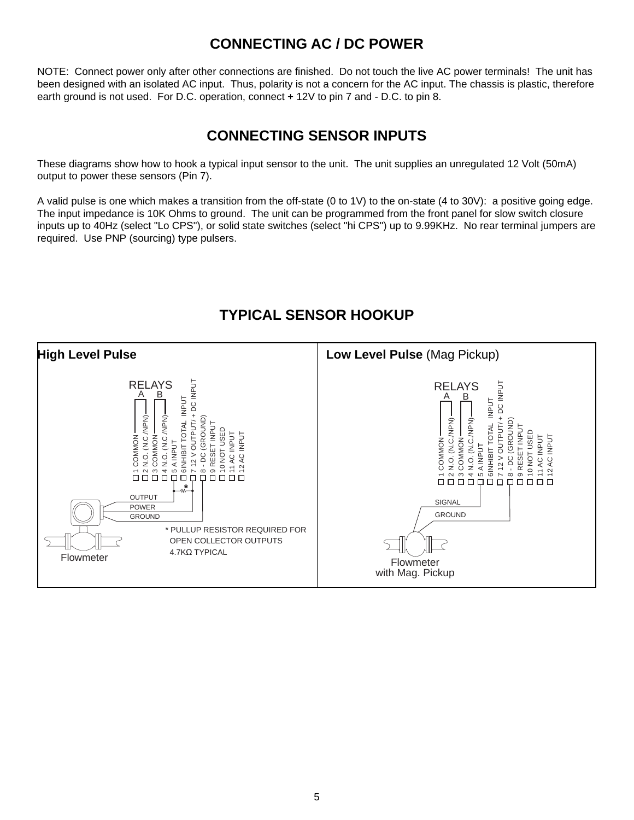### **CONNECTING AC / DC POWER**

NOTE: Connect power only after other connections are finished. Do not touch the live AC power terminals! The unit has been designed with an isolated AC input. Thus, polarity is not a concern for the AC input. The chassis is plastic, therefore earth ground is not used. For D.C. operation, connect + 12V to pin 7 and - D.C. to pin 8.

### **CONNECTING SENSOR INPUTS**

These diagrams show how to hook a typical input sensor to the unit. The unit supplies an unregulated 12 Volt (50mA) output to power these sensors (Pin 7).

A valid pulse is one which makes a transition from the off-state (0 to 1V) to the on-state (4 to 30V): a positive going edge. The input impedance is 10K Ohms to ground. The unit can be programmed from the front panel for slow switch closure inputs up to 40Hz (select "Lo CPS"), or solid state switches (select "hi CPS") up to 9.99KHz. No rear terminal jumpers are required. Use PNP (sourcing) type pulsers.



### **TYPICAL SENSOR HOOKUP**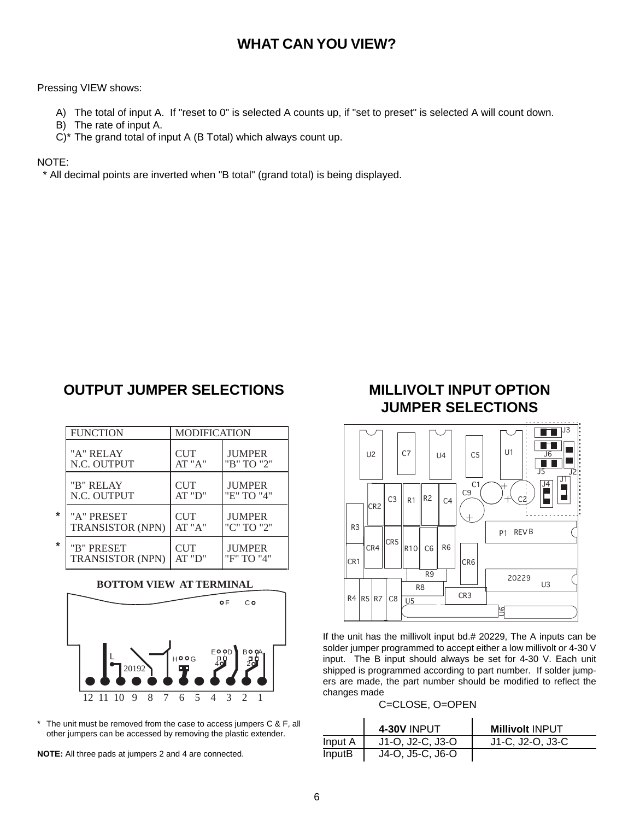### **WHAT CAN YOU VIEW?**

### Pressing VIEW shows:

- A) The total of input A. If "reset to 0" is selected A counts up, if "set to preset" is selected A will count down.
- B) The rate of input A.
- C)\* The grand total of input A (B Total) which always count up.

### NOTE:

\* All decimal points are inverted when "B total" (grand total) is being displayed.

### **OUTPUT JUMPER SELECTIONS**

|   | <b>FUNCTION</b>         | <b>MODIFICATION</b> |               |
|---|-------------------------|---------------------|---------------|
|   | "A" RELAY               | <b>CUT</b>          | <b>JUMPER</b> |
|   | N.C. OUTPUT             | AT "A"              | "B" TO "2"    |
|   | "B" RELAY               | <b>CUT</b>          | <b>JUMPER</b> |
|   | N.C. OUTPUT             | AT "D"              | "E" TO "4"    |
| * | "A" PRESET              | <b>CUT</b>          | <b>JUMPER</b> |
|   | <b>TRANSISTOR (NPN)</b> | AT "A"              | "C" TO "2"    |
| ¥ | "B" PRESET              | CUT                 | <b>JUMPER</b> |
|   | TRANSISTOR (NPN)        | AT "D"              | "F" TO "4"    |

### **BOTTOM VIEW AT TERMINAL**



\* The unit must be removed from the case to access jumpers C & F, all other jumpers can be accessed by removing the plastic extender.

**NOTE:** All three pads at jumpers 2 and 4 are connected.

### **MILLIVOLT INPUT OPTION JUMPER SELECTIONS**



If the unit has the millivolt input bd.# 20229, The A inputs can be solder jumper programmed to accept either a low millivolt or 4-30 V input. The B input should always be set for 4-30 V. Each unit shipped is programmed according to part number. If solder jumpers are made, the part number should be modified to reflect the changes made

### C=CLOSE, O=OPEN

|         | <b>4-30V INPUT</b> | <b>Millivolt INPUT</b> |
|---------|--------------------|------------------------|
| Input A | J1-O, J2-C, J3-O   | J1-C, J2-O, J3-C       |
| InputB  | J4-O, J5-C, J6-O   |                        |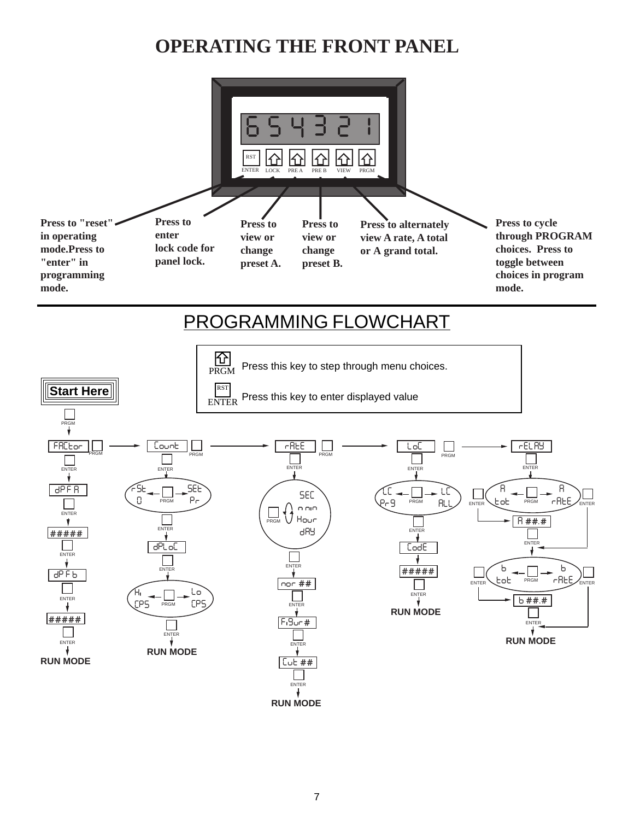# **OPERATING THE FRONT PANEL**

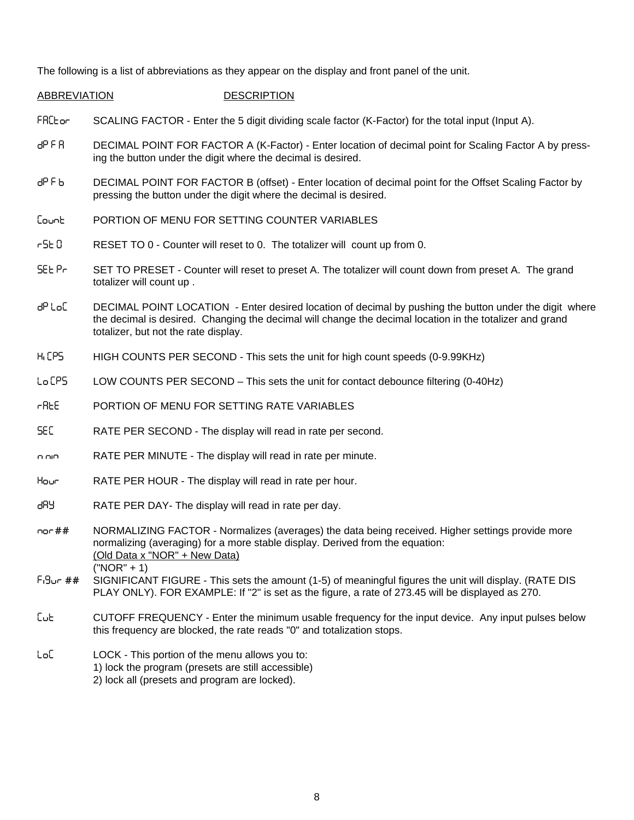The following is a list of abbreviations as they appear on the display and front panel of the unit.

### ABBREVIATION DESCRIPTION

- FREL or SCALING FACTOR Enter the 5 digit dividing scale factor (K-Factor) for the total input (Input A).
- dP F R DECIMAL POINT FOR FACTOR A (K-Factor) Enter location of decimal point for Scaling Factor A by pressing the button under the digit where the decimal is desired.
- d<sup>p</sup> F b DECIMAL POINT FOR FACTOR B (offset) Enter location of decimal point for the Offset Scaling Factor by pressing the button under the digit where the decimal is desired.
- Count **PORTION OF MENU FOR SETTING COUNTER VARIABLES**
- r 5 E 0 RESET TO 0 Counter will reset to 0. The totalizer will count up from 0.
- SEL Pr SET TO PRESET Counter will reset to preset A. The totalizer will count down from preset A. The grand totalizer will count up .
- dP LoC DECIMAL POINT LOCATION Enter desired location of decimal by pushing the button under the digit where the decimal is desired. Changing the decimal will change the decimal location in the totalizer and grand totalizer, but not the rate display.
- H<sub>I</sub> CPS HIGH COUNTS PER SECOND This sets the unit for high count speeds (0-9.99KHz)
- LO CPS LOW COUNTS PER SECOND This sets the unit for contact debounce filtering (0-40Hz)
- **CREE** PORTION OF MENU FOR SETTING RATE VARIABLES
- sec RATE PER SECOND The display will read in rate per second.
- n nin RATE PER MINUTE The display will read in rate per minute.
- hour RATE PER HOUR The display will read in rate per hour.
- dRY RATE PER DAY- The display will read in rate per day.
- nor ## NORMALIZING FACTOR Normalizes (averages) the data being received. Higher settings provide more normalizing (averaging) for a more stable display. Derived from the equation: (Old Data x "NOR" + New Data) ("NOR" + 1)
- F<sub>1</sub>9<sub>ur</sub> ## SIGNIFICANT FIGURE This sets the amount (1-5) of meaningful figures the unit will display. (RATE DIS PLAY ONLY). FOR EXAMPLE: If "2" is set as the figure, a rate of 273.45 will be displayed as 270.
- cut CUTOFF FREQUENCY Enter the minimum usable frequency for the input device. Any input pulses below this frequency are blocked, the rate reads "0" and totalization stops.
- LoC LOCK This portion of the menu allows you to:
	- 1) lock the program (presets are still accessible)
	- 2) lock all (presets and program are locked).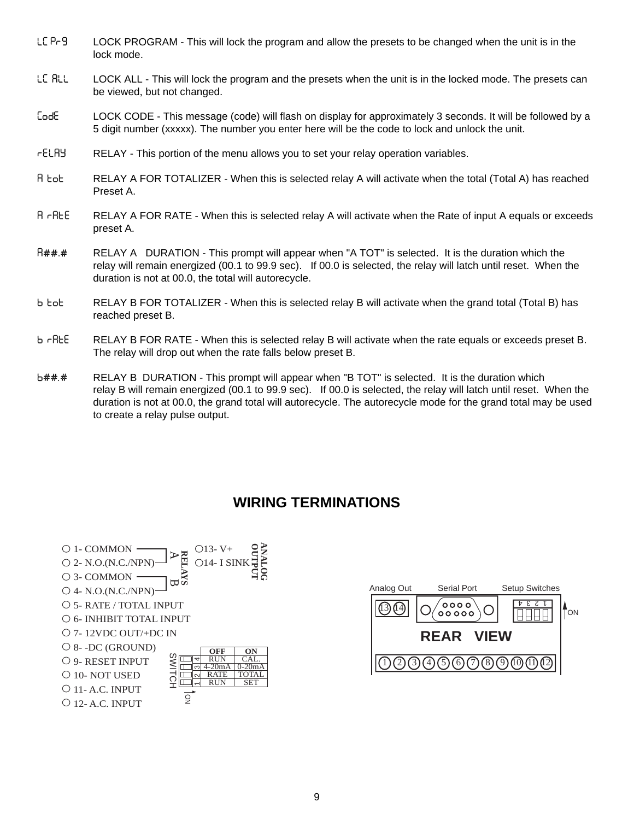- LC Pr-9 LOCK PROGRAM This will lock the program and allow the presets to be changed when the unit is in the lock mode.
- LE RLL LOCK ALL This will lock the program and the presets when the unit is in the locked mode. The presets can be viewed, but not changed.
- CODE LOCK CODE This message (code) will flash on display for approximately 3 seconds. It will be followed by a 5 digit number (xxxxx). The number you enter here will be the code to lock and unlock the unit.
- RELAY RELAY This portion of the menu allows you to set your relay operation variables.
- A TOT RELAY A FOR TOTALIZER When this is selected relay A will activate when the total (Total A) has reached Preset A.
- A RATE RELAY A FOR RATE When this is selected relay A will activate when the Rate of input A equals or exceeds preset A.
- R##.# RELAY A DURATION This prompt will appear when "A TOT" is selected. It is the duration which the relay will remain energized (00.1 to 99.9 sec). If 00.0 is selected, the relay will latch until reset. When the duration is not at 00.0, the total will autorecycle.
- b tot RELAY B FOR TOTALIZER When this is selected relay B will activate when the grand total (Total B) has reached preset B.
- b rREE RELAY B FOR RATE When this is selected relay B will activate when the rate equals or exceeds preset B. The relay will drop out when the rate falls below preset B.
- b##.# RELAY B DURATION This prompt will appear when "B TOT" is selected. It is the duration which relay B will remain energized (00.1 to 99.9 sec). If 00.0 is selected, the relay will latch until reset. When the duration is not at 00.0, the grand total will autorecycle. The autorecycle mode for the grand total may be used to create a relay pulse output.

### **WIRING TERMINATIONS**



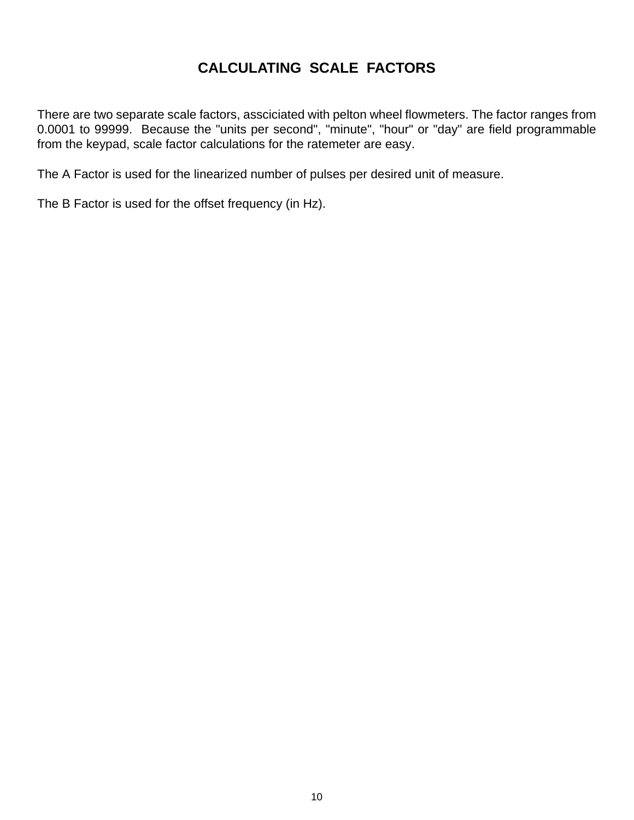### **CALCULATING SCALE FACTORS**

There are two separate scale factors, assciciated with pelton wheel flowmeters. The factor ranges from 0.0001 to 99999. Because the "units per second", "minute", "hour" or "day" are field programmable from the keypad, scale factor calculations for the ratemeter are easy.

The A Factor is used for the linearized number of pulses per desired unit of measure.

The B Factor is used for the offset frequency (in Hz).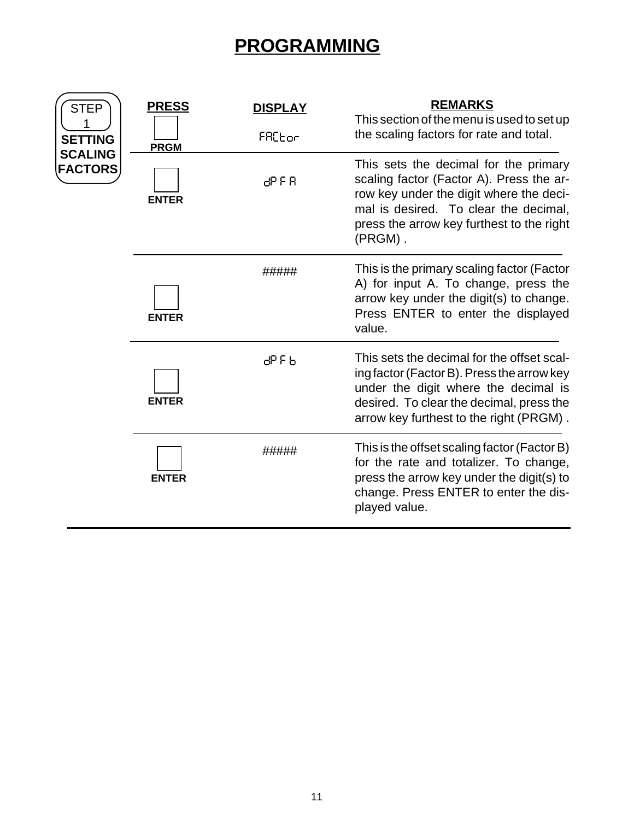## **PROGRAMMING**

| <b>STEP</b>                      | <b>PRESS</b> | <b>DISPLAY</b>     | <b>REMARKS</b><br>This section of the menu is used to set up                                                                                                                                                                  |
|----------------------------------|--------------|--------------------|-------------------------------------------------------------------------------------------------------------------------------------------------------------------------------------------------------------------------------|
| <b>SETTING</b><br><b>SCALING</b> | <b>PRGM</b>  | FRC <sub>bor</sub> | the scaling factors for rate and total.                                                                                                                                                                                       |
| <b>FACTORS</b>                   | <b>ENTER</b> | 89 F R             | This sets the decimal for the primary<br>scaling factor (Factor A). Press the ar-<br>row key under the digit where the deci-<br>mal is desired. To clear the decimal,<br>press the arrow key furthest to the right<br>(PRGM). |
|                                  | <b>ENTER</b> | #####              | This is the primary scaling factor (Factor<br>A) for input A. To change, press the<br>arrow key under the digit(s) to change.<br>Press ENTER to enter the displayed<br>value.                                                 |
|                                  | <b>ENTER</b> | ႕၁၉၉               | This sets the decimal for the offset scal-<br>ing factor (Factor B). Press the arrow key<br>under the digit where the decimal is<br>desired. To clear the decimal, press the<br>arrow key furthest to the right (PRGM).       |
|                                  | <b>ENTER</b> | #####              | This is the offset scaling factor (Factor B)<br>for the rate and totalizer. To change,<br>press the arrow key under the digit(s) to<br>change. Press ENTER to enter the dis-<br>played value.                                 |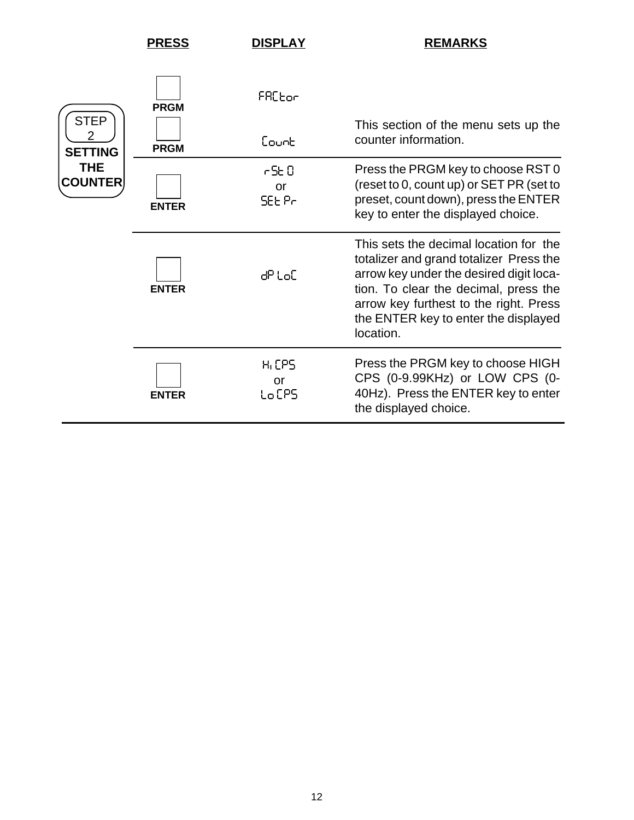|                                                                    | <b>PRESS</b>               | <b>DISPLAY</b>                    | <b>REMARKS</b>                                                                                                                                                                                                                                                       |
|--------------------------------------------------------------------|----------------------------|-----------------------------------|----------------------------------------------------------------------------------------------------------------------------------------------------------------------------------------------------------------------------------------------------------------------|
| <b>STEP</b><br>2<br><b>SETTING</b><br><b>THE</b><br><b>COUNTER</b> | <b>PRGM</b><br><b>PRGM</b> | FRCtor<br>Count                   | This section of the menu sets up the<br>counter information.                                                                                                                                                                                                         |
|                                                                    | <b>ENTER</b>               | r SE O<br>or<br>SEE Pr            | Press the PRGM key to choose RST 0<br>(reset to 0, count up) or SET PR (set to<br>preset, count down), press the ENTER<br>key to enter the displayed choice.                                                                                                         |
|                                                                    | <b>ENTER</b>               | dPtoE                             | This sets the decimal location for the<br>totalizer and grand totalizer Press the<br>arrow key under the desired digit loca-<br>tion. To clear the decimal, press the<br>arrow key furthest to the right. Press<br>the ENTER key to enter the displayed<br>location. |
|                                                                    | <b>ENTER</b>               | H <sub>I</sub> CPS<br>or<br>LoCPS | Press the PRGM key to choose HIGH<br>CPS (0-9.99KHz) or LOW CPS (0-<br>40Hz). Press the ENTER key to enter<br>the displayed choice.                                                                                                                                  |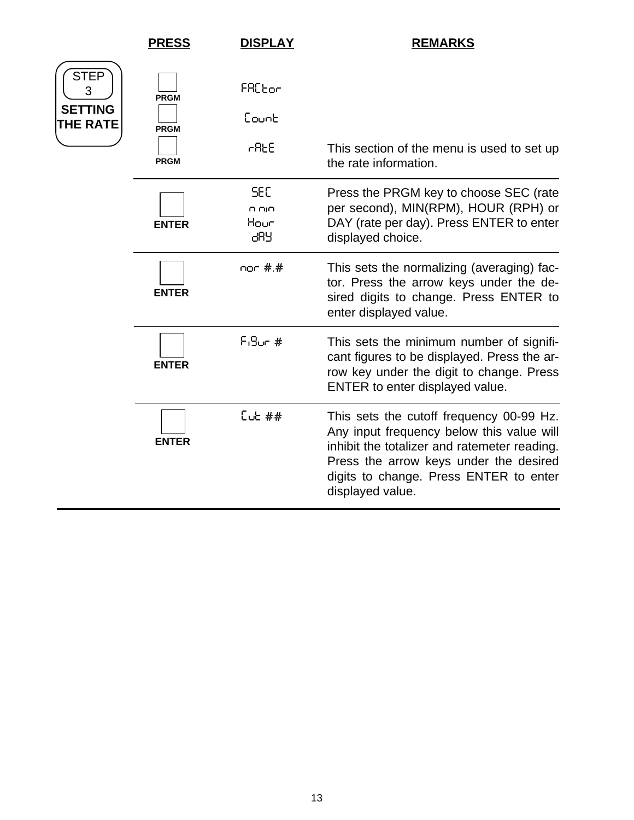|                                                       | <b>PRESS</b>                              | <b>DISPLAY</b>                       | <b>REMARKS</b>                                                                                                                                                                                                                                |
|-------------------------------------------------------|-------------------------------------------|--------------------------------------|-----------------------------------------------------------------------------------------------------------------------------------------------------------------------------------------------------------------------------------------------|
| <b>STEP</b><br>3<br><b>SETTING</b><br><b>THE RATE</b> | <b>PRGM</b><br><b>PRGM</b><br><b>PRGM</b> | FRC <sub>bor</sub><br>Eounb<br>r AEE | This section of the menu is used to set up<br>the rate information.                                                                                                                                                                           |
|                                                       | <b>ENTER</b>                              | <b>SEC</b><br>o oio<br>Hour<br>კგყ   | Press the PRGM key to choose SEC (rate<br>per second), MIN(RPM), HOUR (RPH) or<br>DAY (rate per day). Press ENTER to enter<br>displayed choice.                                                                                               |
|                                                       | <b>ENTER</b>                              | nor #.#                              | This sets the normalizing (averaging) fac-<br>tor. Press the arrow keys under the de-<br>sired digits to change. Press ENTER to<br>enter displayed value.                                                                                     |
|                                                       | <b>ENTER</b>                              | $F_19$ un #                          | This sets the minimum number of signifi-<br>cant figures to be displayed. Press the ar-<br>row key under the digit to change. Press<br>ENTER to enter displayed value.                                                                        |
|                                                       | <b>ENTER</b>                              | $C$ ub ##                            | This sets the cutoff frequency 00-99 Hz.<br>Any input frequency below this value will<br>inhibit the totalizer and ratemeter reading.<br>Press the arrow keys under the desired<br>digits to change. Press ENTER to enter<br>displayed value. |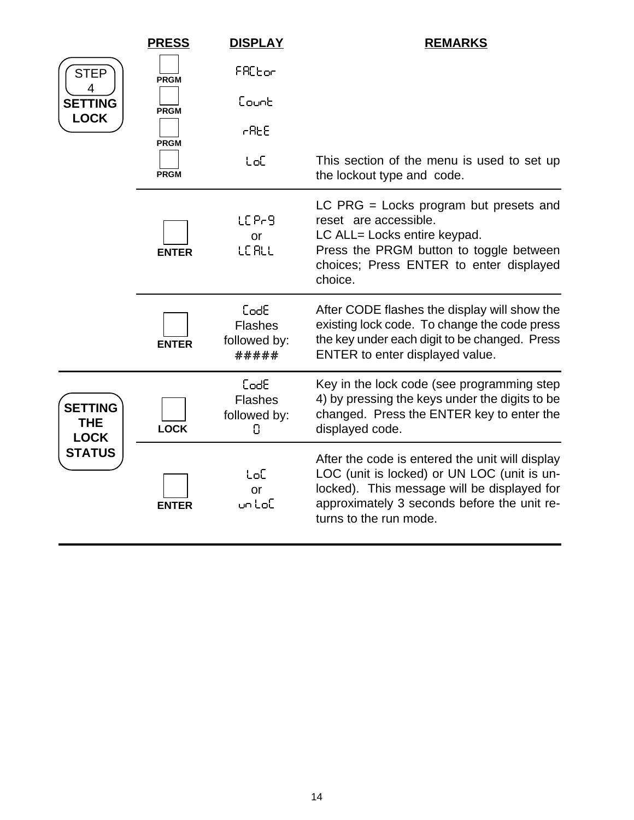|                                             | <b>PRESS</b> | <b>DISPLAY</b>                                  | <b>REMARKS</b>                                                                                                                                                                                                         |
|---------------------------------------------|--------------|-------------------------------------------------|------------------------------------------------------------------------------------------------------------------------------------------------------------------------------------------------------------------------|
| <b>STEP</b>                                 | <b>PRGM</b>  | FACEor                                          |                                                                                                                                                                                                                        |
| 4<br><b>SETTING</b>                         | <b>PRGM</b>  | Eount                                           |                                                                                                                                                                                                                        |
| <b>LOCK</b>                                 | <b>PRGM</b>  | rRE                                             |                                                                                                                                                                                                                        |
|                                             | <b>PRGM</b>  | toC                                             | This section of the menu is used to set up<br>the lockout type and code.                                                                                                                                               |
|                                             | <b>ENTER</b> | LC Pr9<br>or<br><b>LE RLL</b>                   | LC PRG $=$ Locks program but presets and<br>reset are accessible.<br>LC ALL= Locks entire keypad.<br>Press the PRGM button to toggle between<br>choices; Press ENTER to enter displayed<br>choice.                     |
|                                             | <b>ENTER</b> | CodE<br><b>Flashes</b><br>followed by:<br>***** | After CODE flashes the display will show the<br>existing lock code. To change the code press<br>the key under each digit to be changed. Press<br>ENTER to enter displayed value.                                       |
| <b>SETTING</b><br><b>THE</b><br><b>LOCK</b> | <b>LOCK</b>  | CodE<br><b>Flashes</b><br>followed by:<br>0     | Key in the lock code (see programming step<br>4) by pressing the keys under the digits to be<br>changed. Press the ENTER key to enter the<br>displayed code.                                                           |
| <b>STATUS</b>                               | <b>ENTER</b> | toC<br>or<br>untoE                              | After the code is entered the unit will display<br>LOC (unit is locked) or UN LOC (unit is un-<br>locked). This message will be displayed for<br>approximately 3 seconds before the unit re-<br>turns to the run mode. |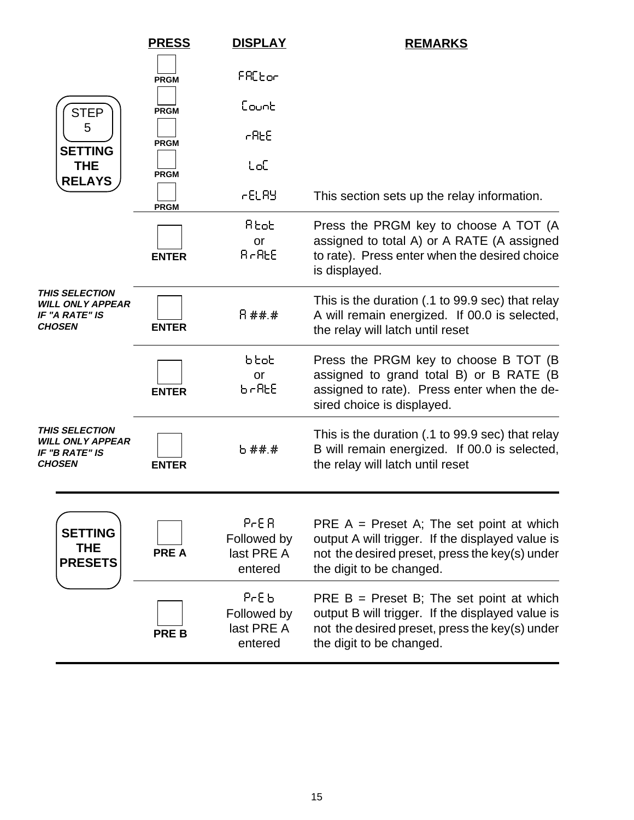|                                                                                     | <b>PRESS</b> | <b>DISPLAY</b>                                            | <b>REMARKS</b>                                                                                                                                                               |
|-------------------------------------------------------------------------------------|--------------|-----------------------------------------------------------|------------------------------------------------------------------------------------------------------------------------------------------------------------------------------|
|                                                                                     | <b>PRGM</b>  | FRCtor                                                    |                                                                                                                                                                              |
| <b>STEP</b>                                                                         | <b>PRGM</b>  | ნისინ                                                     |                                                                                                                                                                              |
| 5<br><b>SETTING</b>                                                                 | <b>PRGM</b>  | r AEE                                                     |                                                                                                                                                                              |
| <b>THE</b><br><b>RELAYS</b>                                                         | <b>PRGM</b>  | toC                                                       |                                                                                                                                                                              |
|                                                                                     | <b>PRGM</b>  | 6ELAY                                                     | This section sets up the relay information.                                                                                                                                  |
|                                                                                     | <b>ENTER</b> | Rtot<br>or<br><b>B-BEE</b>                                | Press the PRGM key to choose A TOT (A<br>assigned to total A) or A RATE (A assigned<br>to rate). Press enter when the desired choice<br>is displayed.                        |
| <b>THIS SELECTION</b><br>WILL ONLY APPEAR<br>IF "A RATE" IS<br><b>CHOSEN</b>        | <b>ENTER</b> | 日茶茶茶                                                      | This is the duration (.1 to 99.9 sec) that relay<br>A will remain energized. If 00.0 is selected,<br>the relay will latch until reset                                        |
|                                                                                     | <b>ENTER</b> | btot<br>or<br>ხ-ჩხნ                                       | Press the PRGM key to choose B TOT (B)<br>assigned to grand total B) or B RATE (B<br>assigned to rate). Press enter when the de-<br>sired choice is displayed.               |
| <b>THIS SELECTION</b><br><b>WILL ONLY APPEAR</b><br>IF "B RATE" IS<br><b>CHOSEN</b> | <b>ENTER</b> | 5 ##.#                                                    | This is the duration (.1 to 99.9 sec) that relay<br>B will remain energized. If 00.0 is selected,<br>the relay will latch until reset                                        |
| <b>SETTING</b><br><b>THE</b><br><b>PRESETS</b>                                      | <b>PREA</b>  | P <sub>CE</sub> R<br>Followed by<br>last PRE A<br>entered | PRE $A =$ Preset A; The set point at which<br>output A will trigger. If the displayed value is<br>not the desired preset, press the key(s) under<br>the digit to be changed. |
|                                                                                     | <b>PREB</b>  | PrE 6<br>Followed by<br>last PRE A<br>entered             | PRE $B =$ Preset B; The set point at which<br>output B will trigger. If the displayed value is<br>not the desired preset, press the key(s) under<br>the digit to be changed. |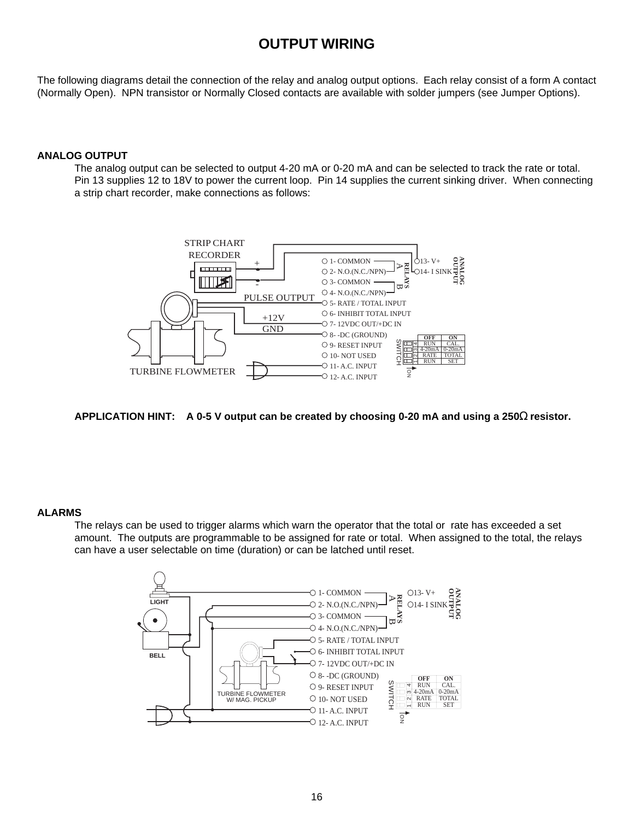### **OUTPUT WIRING**

The following diagrams detail the connection of the relay and analog output options. Each relay consist of a form A contact (Normally Open). NPN transistor or Normally Closed contacts are available with solder jumpers (see Jumper Options).

### **ANALOG OUTPUT**

The analog output can be selected to output 4-20 mA or 0-20 mA and can be selected to track the rate or total. Pin 13 supplies 12 to 18V to power the current loop. Pin 14 supplies the current sinking driver. When connecting a strip chart recorder, make connections as follows:



**APPLICATION HINT: A 0-5 V output can be created by choosing 0-20 mA and using a 250**Ω **resistor.**

### **ALARMS**

The relays can be used to trigger alarms which warn the operator that the total or rate has exceeded a set amount. The outputs are programmable to be assigned for rate or total. When assigned to the total, the relays can have a user selectable on time (duration) or can be latched until reset.

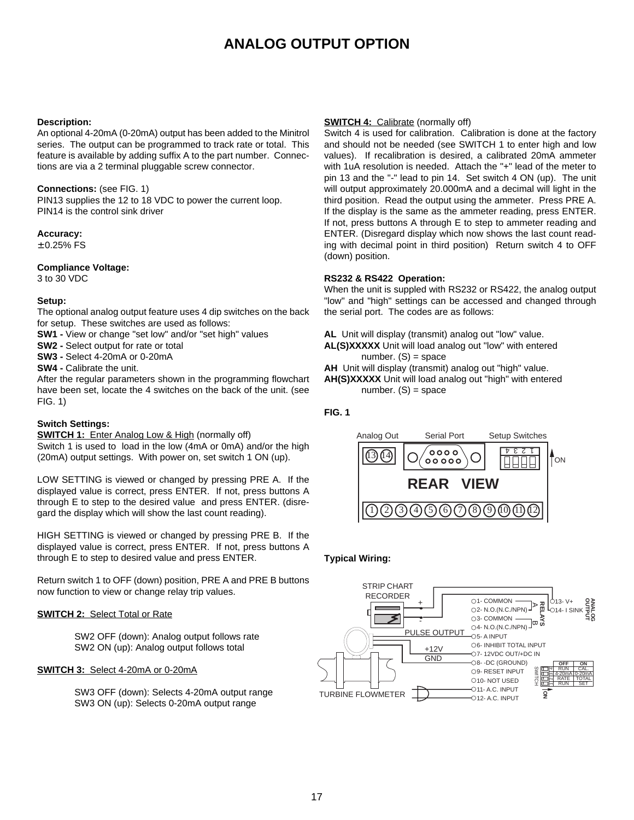### **ANALOG OUTPUT OPTION**

### **Description:**

An optional 4-20mA (0-20mA) output has been added to the Minitrol series. The output can be programmed to track rate or total. This feature is available by adding suffix A to the part number. Connections are via a 2 terminal pluggable screw connector.

### **Connections:** (see FIG. 1)

PIN13 supplies the 12 to 18 VDC to power the current loop. PIN14 is the control sink driver

### **Accuracy:**

 $± 0.25%$  FS

### **Compliance Voltage:**

3 to 30 VDC

### **Setup:**

The optional analog output feature uses 4 dip switches on the back for setup. These switches are used as follows:

- **SW1 -** View or change "set low" and/or "set high" values
- **SW2** Select output for rate or total
- **SW3** Select 4-20mA or 0-20mA
- **SW4** Calibrate the unit.

After the regular parameters shown in the programming flowchart have been set, locate the 4 switches on the back of the unit. (see FIG. 1)

### **Switch Settings:**

**SWITCH 1:** Enter Analog Low & High (normally off)

Switch 1 is used to load in the low (4mA or 0mA) and/or the high (20mA) output settings. With power on, set switch 1 ON (up).

LOW SETTING is viewed or changed by pressing PRE A. If the displayed value is correct, press ENTER. If not, press buttons A through E to step to the desired value and press ENTER. (disregard the display which will show the last count reading).

HIGH SETTING is viewed or changed by pressing PRE B. If the displayed value is correct, press ENTER. If not, press buttons A through E to step to desired value and press ENTER.

Return switch 1 to OFF (down) position, PRE A and PRE B buttons now function to view or change relay trip values.

### **SWITCH 2:** Select Total or Rate

SW2 OFF (down): Analog output follows rate SW2 ON (up): Analog output follows total

### **SWITCH 3:** Select 4-20mA or 0-20mA

SW3 OFF (down): Selects 4-20mA output range SW3 ON (up): Selects 0-20mA output range

### **SWITCH 4:** Calibrate (normally off)

Switch 4 is used for calibration. Calibration is done at the factory and should not be needed (see SWITCH 1 to enter high and low values). If recalibration is desired, a calibrated 20mA ammeter with 1uA resolution is needed. Attach the "+" lead of the meter to pin 13 and the "-" lead to pin 14. Set switch 4 ON (up). The unit will output approximately 20.000mA and a decimal will light in the third position. Read the output using the ammeter. Press PRE A. If the display is the same as the ammeter reading, press ENTER. If not, press buttons A through E to step to ammeter reading and ENTER. (Disregard display which now shows the last count reading with decimal point in third position) Return switch 4 to OFF (down) position.

### **RS232 & RS422 Operation:**

When the unit is suppled with RS232 or RS422, the analog output "low" and "high" settings can be accessed and changed through the serial port. The codes are as follows:

- **AL** Unit will display (transmit) analog out "low" value.
- **AL(S)XXXXX** Unit will load analog out "low" with entered number.  $(S)$  = space
- **AH** Unit will display (transmit) analog out "high" value.
- **AH(S)XXXXX** Unit will load analog out "high" with entered number.  $(S)$  = space

### **FIG. 1**



### **Typical Wiring:**

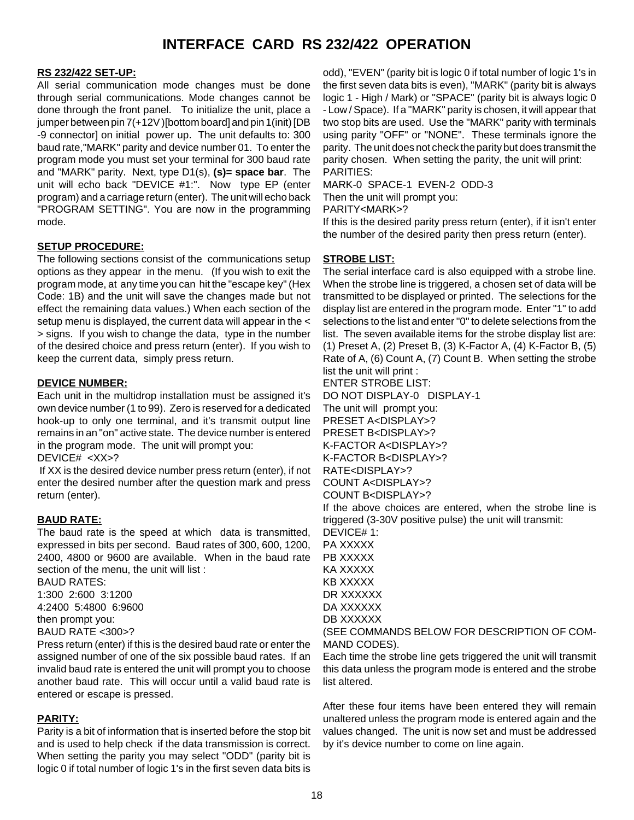### **INTERFACE CARD RS 232/422 OPERATION**

### **RS 232/422 SET-UP:**

All serial communication mode changes must be done through serial communications. Mode changes cannot be done through the front panel. To initialize the unit, place a jumper between pin 7(+12V )[bottom board] and pin 1(init) [DB -9 connector] on initial power up. The unit defaults to: 300 baud rate,"MARK" parity and device number 01. To enter the program mode you must set your terminal for 300 baud rate and "MARK" parity. Next, type D1(s), **(s)= space bar**. The unit will echo back "DEVICE #1:". Now type EP (enter program) and a carriage return (enter). The unit will echo back "PROGRAM SETTING". You are now in the programming mode.

### **SETUP PROCEDURE:**

The following sections consist of the communications setup options as they appear in the menu. (If you wish to exit the program mode, at any time you can hit the "escape key" (Hex Code: 1B) and the unit will save the changes made but not effect the remaining data values.) When each section of the setup menu is displayed, the current data will appear in the < > signs. If you wish to change the data, type in the number of the desired choice and press return (enter). If you wish to keep the current data, simply press return.

### **DEVICE NUMBER:**

Each unit in the multidrop installation must be assigned it's own device number (1 to 99). Zero is reserved for a dedicated hook-up to only one terminal, and it's transmit output line remains in an "on" active state. The device number is entered in the program mode. The unit will prompt you:

DEVICE# <XX>?

 If XX is the desired device number press return (enter), if not enter the desired number after the question mark and press return (enter).

### **BAUD RATE:**

The baud rate is the speed at which data is transmitted, expressed in bits per second. Baud rates of 300, 600, 1200, 2400, 4800 or 9600 are available. When in the baud rate section of the menu, the unit will list :

BAUD RATES: 1:300 2:600 3:1200 4:2400 5:4800 6:9600 then prompt you:

BAUD RATE <300>?

Press return (enter) if this is the desired baud rate or enter the assigned number of one of the six possible baud rates. If an invalid baud rate is entered the unit will prompt you to choose another baud rate. This will occur until a valid baud rate is entered or escape is pressed.

### **PARITY:**

Parity is a bit of information that is inserted before the stop bit and is used to help check if the data transmission is correct. When setting the parity you may select "ODD" (parity bit is logic 0 if total number of logic 1's in the first seven data bits is

odd), "EVEN" (parity bit is logic 0 if total number of logic 1's in the first seven data bits is even), "MARK" (parity bit is always logic 1 - High / Mark) or "SPACE" (parity bit is always logic 0 - Low / Space). If a "MARK" parity is chosen, it will appear that two stop bits are used. Use the "MARK" parity with terminals using parity "OFF" or "NONE". These terminals ignore the parity. The unit does not check the parity but does transmit the parity chosen. When setting the parity, the unit will print: PARITIES:

MARK-0 SPACE-1 EVEN-2 ODD-3

Then the unit will prompt you:

PARITY<MARK>?

If this is the desired parity press return (enter), if it isn't enter the number of the desired parity then press return (enter).

### **STROBE LIST:**

The serial interface card is also equipped with a strobe line. When the strobe line is triggered, a chosen set of data will be transmitted to be displayed or printed. The selections for the display list are entered in the program mode. Enter "1" to add selections to the list and enter "0" to delete selections from the list. The seven available items for the strobe display list are: (1) Preset A, (2) Preset B, (3) K-Factor A, (4) K-Factor B, (5) Rate of A, (6) Count A, (7) Count B. When setting the strobe list the unit will print :

ENTER STROBE LIST:

DO NOT DISPLAY-0 DISPLAY-1 The unit will prompt you:

PRESET A<DISPLAY>? PRESET B<DISPLAY>? K-FACTOR A<DISPLAY>?

K-FACTOR B<DISPLAY>?

RATE<DISPLAY>?

COUNT A<DISPLAY>?

COUNT B<DISPLAY>?

If the above choices are entered, when the strobe line is triggered (3-30V positive pulse) the unit will transmit:

DEVICE# 1: PA XXXXX PB XXXXX KA XXXXX KB XXXXX DR XXXXXX DA XXXXXX DB XXXXXX

(SEE COMMANDS BELOW FOR DESCRIPTION OF COM-MAND CODES).

Each time the strobe line gets triggered the unit will transmit this data unless the program mode is entered and the strobe list altered.

After these four items have been entered they will remain unaltered unless the program mode is entered again and the values changed. The unit is now set and must be addressed by it's device number to come on line again.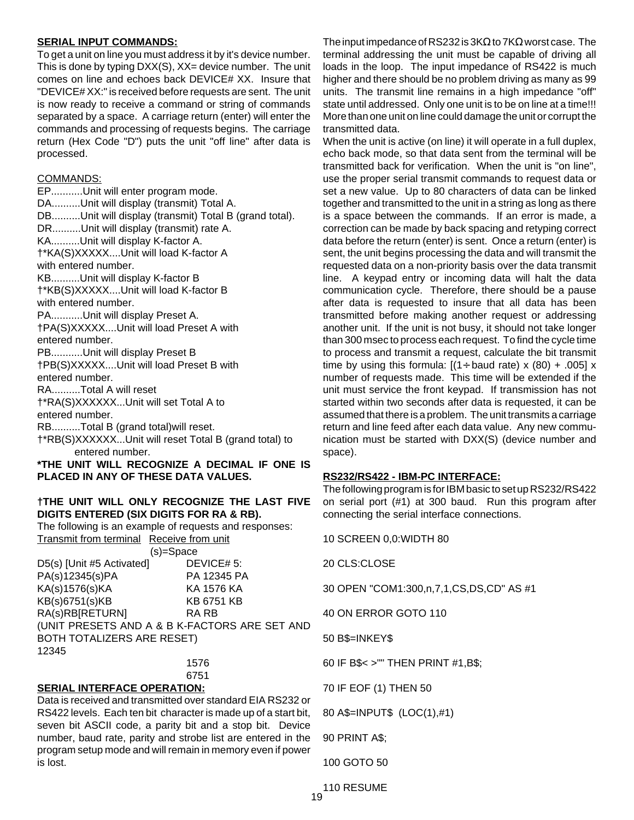### **SERIAL INPUT COMMANDS:**

To get a unit on line you must address it by it's device number. This is done by typing DXX(S), XX= device number. The unit comes on line and echoes back DEVICE# XX. Insure that "DEVICE# XX:" is received before requests are sent. The unit is now ready to receive a command or string of commands separated by a space. A carriage return (enter) will enter the commands and processing of requests begins. The carriage return (Hex Code "D") puts the unit "off line" after data is processed.

### COMMANDS:

EP...........Unit will enter program mode. DA..........Unit will display (transmit) Total A. DB..........Unit will display (transmit) Total B (grand total). DR..........Unit will display (transmit) rate A. KA..........Unit will display K-factor A. †\*KA(S)XXXXX....Unit will load K-factor A with entered number. KB..........Unit will display K-factor B †\*KB(S)XXXXX....Unit will load K-factor B with entered number. PA...........Unit will display Preset A. †PA(S)XXXXX....Unit will load Preset A with entered number. PB...........Unit will display Preset B †PB(S)XXXXX....Unit will load Preset B with entered number. RA..........Total A will reset †\*RA(S)XXXXXX...Unit will set Total A to entered number. RB..........Total B (grand total)will reset. †\*RB(S)XXXXXX...Unit will reset Total B (grand total) to entered number. **\*THE UNIT WILL RECOGNIZE A DECIMAL IF ONE IS PLACED IN ANY OF THESE DATA VALUES.**

### **†THE UNIT WILL ONLY RECOGNIZE THE LAST FIVE DIGITS ENTERED (SIX DIGITS FOR RA & RB).**

The following is an example of requests and responses: Transmit from terminal Receive from unit (s)=Space D5(s) [Unit #5 Activated] DEVICE# 5:  $PA(s)12345(s)PA$ 

| $1.1$ $1.01$ $1.40$ $1.01$        | . <i>.</i>                                    |
|-----------------------------------|-----------------------------------------------|
| KA(s)1576(s)KA                    | KA 1576 KA                                    |
| KB(s)6751(s)KB                    | <b>KB 6751 KB</b>                             |
| RA(s)RB[RETURN]                   | RA RB                                         |
|                                   | (UNIT PRESETS AND A & B K-FACTORS ARE SET AND |
| <b>BOTH TOTALIZERS ARE RESET)</b> |                                               |
| 12345                             |                                               |
|                                   | $1 - 7$                                       |

1576 6751

### **SERIAL INTERFACE OPERATION:**

Data is received and transmitted over standard EIA RS232 or RS422 levels. Each ten bit character is made up of a start bit, seven bit ASCII code, a parity bit and a stop bit. Device number, baud rate, parity and strobe list are entered in the program setup mode and will remain in memory even if power is lost.

The input impedance of RS232 is 3K $\Omega$  to 7K $\Omega$  worst case. The terminal addressing the unit must be capable of driving all loads in the loop. The input impedance of RS422 is much higher and there should be no problem driving as many as 99 units. The transmit line remains in a high impedance "off" state until addressed. Only one unit is to be on line at a time!!! More than one unit on line could damage the unit or corrupt the transmitted data.

When the unit is active (on line) it will operate in a full duplex, echo back mode, so that data sent from the terminal will be transmitted back for verification. When the unit is "on line", use the proper serial transmit commands to request data or set a new value. Up to 80 characters of data can be linked together and transmitted to the unit in a string as long as there is a space between the commands. If an error is made, a correction can be made by back spacing and retyping correct data before the return (enter) is sent. Once a return (enter) is sent, the unit begins processing the data and will transmit the requested data on a non-priority basis over the data transmit line. A keypad entry or incoming data will halt the data communication cycle. Therefore, there should be a pause after data is requested to insure that all data has been transmitted before making another request or addressing another unit. If the unit is not busy, it should not take longer than 300 msec to process each request. To find the cycle time to process and transmit a request, calculate the bit transmit time by using this formula:  $[(1 \div \text{baud rate}) \times (80) + .005] \times$ number of requests made. This time will be extended if the unit must service the front keypad. If transmission has not started within two seconds after data is requested, it can be assumed that there is a problem. The unit transmits a carriage return and line feed after each data value. Any new communication must be started with DXX(S) (device number and space).

### **RS232/RS422 - IBM-PC INTERFACE:**

The following program is for IBM basic to set up RS232/RS422 on serial port (#1) at 300 baud. Run this program after connecting the serial interface connections.

10 SCREEN 0,0:WIDTH 80

20 CLS:CLOSE

30 OPEN "COM1:300,n,7,1,CS,DS,CD" AS #1

40 ON ERROR GOTO 110

50 B\$=INKEY\$

60 IF B\$< >"" THEN PRINT #1,B\$;

70 IF EOF (1) THEN 50

80 A\$=INPUT\$ (LOC(1),#1)

90 PRINT A\$;

100 GOTO 50

110 RESUME 19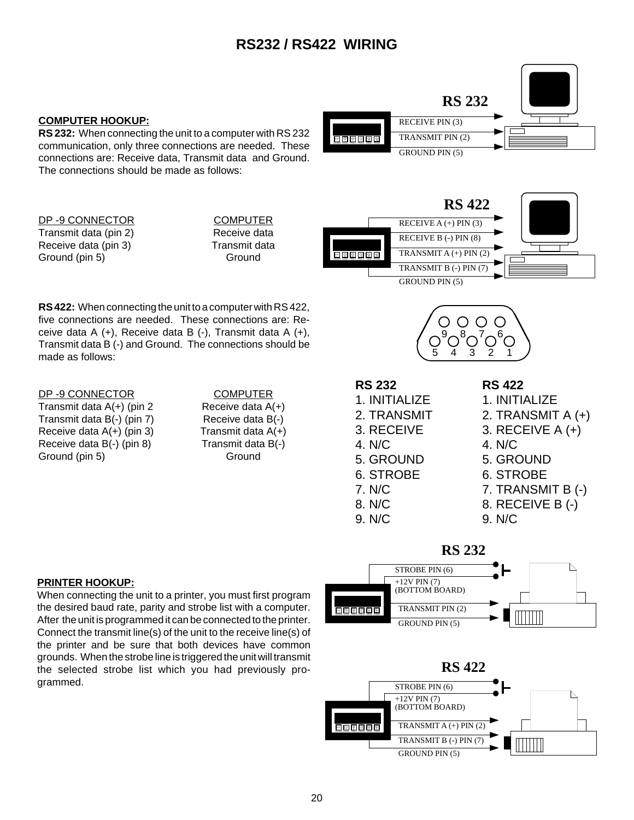### **RS232 / RS422 WIRING**

### **COMPUTER HOOKUP:**

**RS 232:** When connecting the unit to a computer with RS 232 communication, only three connections are needed. These connections are: Receive data, Transmit data and Ground. The connections should be made as follows:



| DP-9 CONNECTOR        | <b>COMPUTE</b> |
|-----------------------|----------------|
| Transmit data (pin 2) | Receive da     |
| Receive data (pin 3)  | Transmit d     |
| Ground (pin 5)        | Ground         |

COMPUTER Receive data Transmit data



**RS 422:** When connecting the unit to a computer with RS 422, five connections are needed. These connections are: Receive data A (+), Receive data B (-), Transmit data A (+), Transmit data B (-) and Ground. The connections should be made as follows:

### DP-9 CONNECTOR COMPUTER

Transmit data  $A(+)$  (pin 2 Receive data  $A(+)$ Transmit data B(-) (pin 7) Receive data B(-) Receive data  $A(+)$  (pin 3) Transmit data  $A(+)$ Receive data B(-) (pin 8) Transmit data B(-) Ground (pin 5) Ground Ground

# **RS 232**

3. RECEIVE

5. GROUND 6. STROBE 7. N/C 8. N/C 9. N/C

4. N/C

1. INITIALIZE 2. TRANSMIT **RS 422**

5 4 3 2 1  $9^8$   $^7$  6

- 
- 1. INITIALIZE
- 2. TRANSMIT A (+)
- 3. RECEIVE A (+) 4. N/C
- 
- 5. GROUND 6. STROBE
- 7. TRANSMIT B (-)
- 8. RECEIVE B (-)
- 
- 9. N/C

### **PRINTER HOOKUP:**

When connecting the unit to a printer, you must first program the desired baud rate, parity and strobe list with a computer. After the unit is programmed it can be connected to the printer. Connect the transmit line(s) of the unit to the receive line(s) of the printer and be sure that both devices have common grounds. When the strobe line is triggered the unit will transmit the selected strobe list which you had previously programmed.



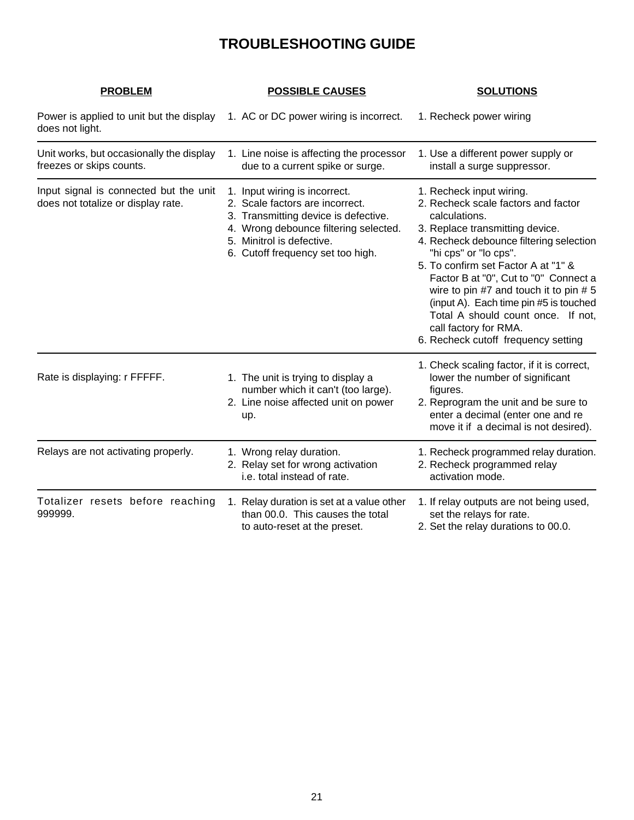### **TROUBLESHOOTING GUIDE**

| <b>PROBLEM</b>                                                               | <b>POSSIBLE CAUSES</b>                                                                                                                                                                                              | <b>SOLUTIONS</b>                                                                                                                                                                                                                                                                                                                                                                                                                                                  |
|------------------------------------------------------------------------------|---------------------------------------------------------------------------------------------------------------------------------------------------------------------------------------------------------------------|-------------------------------------------------------------------------------------------------------------------------------------------------------------------------------------------------------------------------------------------------------------------------------------------------------------------------------------------------------------------------------------------------------------------------------------------------------------------|
| Power is applied to unit but the display<br>does not light.                  | 1. AC or DC power wiring is incorrect.                                                                                                                                                                              | 1. Recheck power wiring                                                                                                                                                                                                                                                                                                                                                                                                                                           |
| Unit works, but occasionally the display<br>freezes or skips counts.         | 1. Line noise is affecting the processor<br>due to a current spike or surge.                                                                                                                                        | 1. Use a different power supply or<br>install a surge suppressor.                                                                                                                                                                                                                                                                                                                                                                                                 |
| Input signal is connected but the unit<br>does not totalize or display rate. | 1. Input wiring is incorrect.<br>2. Scale factors are incorrect.<br>3. Transmitting device is defective.<br>4. Wrong debounce filtering selected.<br>5. Minitrol is defective.<br>6. Cutoff frequency set too high. | 1. Recheck input wiring.<br>2. Recheck scale factors and factor<br>calculations.<br>3. Replace transmitting device.<br>4. Recheck debounce filtering selection<br>"hi cps" or "lo cps".<br>5. To confirm set Factor A at "1" &<br>Factor B at "0", Cut to "0" Connect a<br>wire to pin #7 and touch it to pin # 5<br>(input A). Each time pin #5 is touched<br>Total A should count once. If not,<br>call factory for RMA.<br>6. Recheck cutoff frequency setting |
| Rate is displaying: r FFFFF.                                                 | 1. The unit is trying to display a<br>number which it can't (too large).<br>2. Line noise affected unit on power<br>up.                                                                                             | 1. Check scaling factor, if it is correct,<br>lower the number of significant<br>figures.<br>2. Reprogram the unit and be sure to<br>enter a decimal (enter one and re<br>move it if a decimal is not desired).                                                                                                                                                                                                                                                   |
| Relays are not activating properly.                                          | 1. Wrong relay duration.<br>2. Relay set for wrong activation<br>i.e. total instead of rate.                                                                                                                        | 1. Recheck programmed relay duration.<br>2. Recheck programmed relay<br>activation mode.                                                                                                                                                                                                                                                                                                                                                                          |
| Totalizer resets before reaching<br>999999.                                  | 1. Relay duration is set at a value other<br>than 00.0. This causes the total<br>to auto-reset at the preset.                                                                                                       | 1. If relay outputs are not being used,<br>set the relays for rate.<br>2. Set the relay durations to 00.0.                                                                                                                                                                                                                                                                                                                                                        |